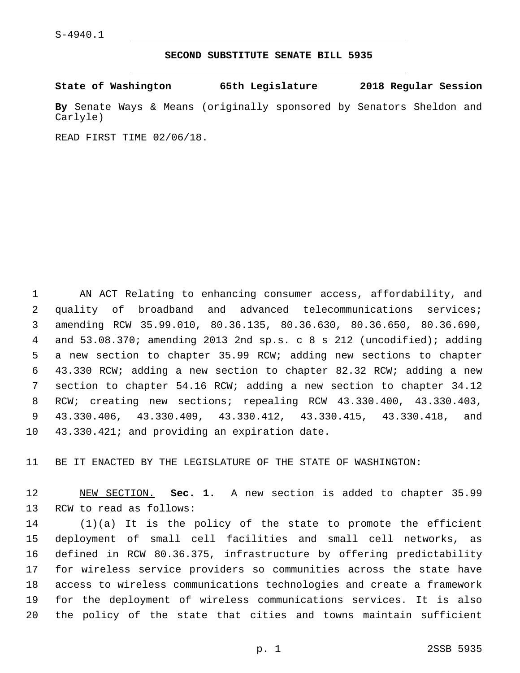## **SECOND SUBSTITUTE SENATE BILL 5935**

**State of Washington 65th Legislature 2018 Regular Session**

**By** Senate Ways & Means (originally sponsored by Senators Sheldon and Carlyle)

READ FIRST TIME 02/06/18.

 AN ACT Relating to enhancing consumer access, affordability, and quality of broadband and advanced telecommunications services; amending RCW 35.99.010, 80.36.135, 80.36.630, 80.36.650, 80.36.690, and 53.08.370; amending 2013 2nd sp.s. c 8 s 212 (uncodified); adding a new section to chapter 35.99 RCW; adding new sections to chapter 43.330 RCW; adding a new section to chapter 82.32 RCW; adding a new section to chapter 54.16 RCW; adding a new section to chapter 34.12 RCW; creating new sections; repealing RCW 43.330.400, 43.330.403, 43.330.406, 43.330.409, 43.330.412, 43.330.415, 43.330.418, and 10 43.330.421; and providing an expiration date.

BE IT ENACTED BY THE LEGISLATURE OF THE STATE OF WASHINGTON:

 NEW SECTION. **Sec. 1.** A new section is added to chapter 35.99 13 RCW to read as follows:

 (1)(a) It is the policy of the state to promote the efficient deployment of small cell facilities and small cell networks, as defined in RCW 80.36.375, infrastructure by offering predictability for wireless service providers so communities across the state have access to wireless communications technologies and create a framework for the deployment of wireless communications services. It is also the policy of the state that cities and towns maintain sufficient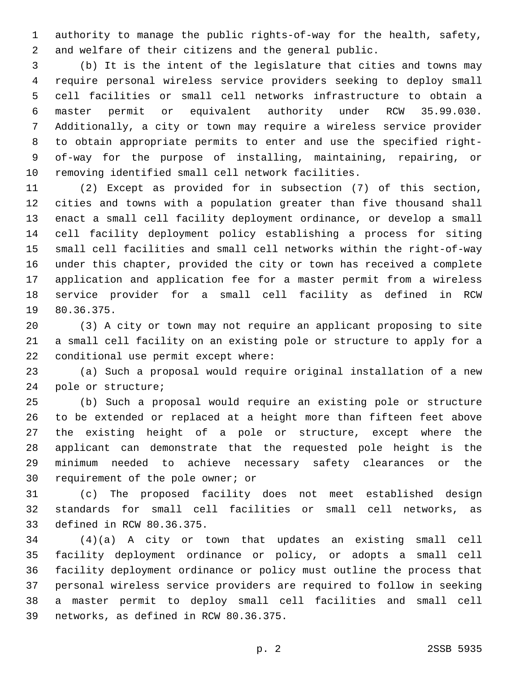authority to manage the public rights-of-way for the health, safety, and welfare of their citizens and the general public.

 (b) It is the intent of the legislature that cities and towns may require personal wireless service providers seeking to deploy small cell facilities or small cell networks infrastructure to obtain a master permit or equivalent authority under RCW 35.99.030. Additionally, a city or town may require a wireless service provider to obtain appropriate permits to enter and use the specified right- of-way for the purpose of installing, maintaining, repairing, or removing identified small cell network facilities.

 (2) Except as provided for in subsection (7) of this section, cities and towns with a population greater than five thousand shall enact a small cell facility deployment ordinance, or develop a small cell facility deployment policy establishing a process for siting small cell facilities and small cell networks within the right-of-way under this chapter, provided the city or town has received a complete application and application fee for a master permit from a wireless service provider for a small cell facility as defined in RCW 19 80.36.375.

 (3) A city or town may not require an applicant proposing to site a small cell facility on an existing pole or structure to apply for a 22 conditional use permit except where:

 (a) Such a proposal would require original installation of a new 24 pole or structure;

 (b) Such a proposal would require an existing pole or structure to be extended or replaced at a height more than fifteen feet above the existing height of a pole or structure, except where the applicant can demonstrate that the requested pole height is the minimum needed to achieve necessary safety clearances or the 30 requirement of the pole owner; or

 (c) The proposed facility does not meet established design standards for small cell facilities or small cell networks, as 33 defined in RCW 80.36.375.

 (4)(a) A city or town that updates an existing small cell facility deployment ordinance or policy, or adopts a small cell facility deployment ordinance or policy must outline the process that personal wireless service providers are required to follow in seeking a master permit to deploy small cell facilities and small cell 39 networks, as defined in RCW 80.36.375.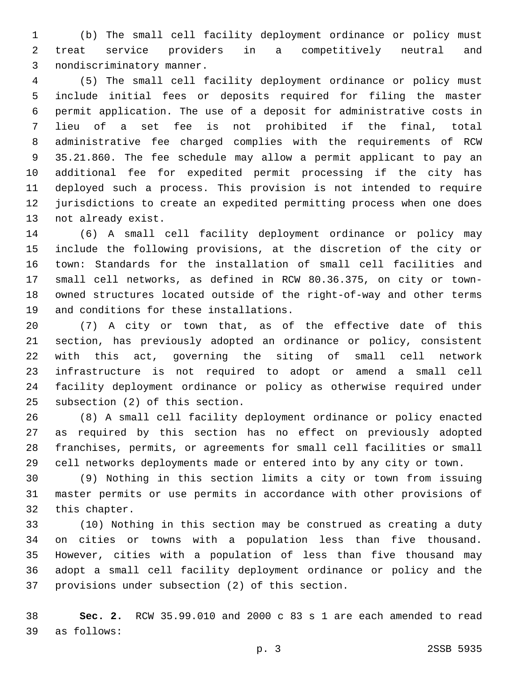(b) The small cell facility deployment ordinance or policy must treat service providers in a competitively neutral and 3 nondiscriminatory manner.

 (5) The small cell facility deployment ordinance or policy must include initial fees or deposits required for filing the master permit application. The use of a deposit for administrative costs in lieu of a set fee is not prohibited if the final, total administrative fee charged complies with the requirements of RCW 35.21.860. The fee schedule may allow a permit applicant to pay an additional fee for expedited permit processing if the city has deployed such a process. This provision is not intended to require jurisdictions to create an expedited permitting process when one does 13 not already exist.

 (6) A small cell facility deployment ordinance or policy may include the following provisions, at the discretion of the city or town: Standards for the installation of small cell facilities and small cell networks, as defined in RCW 80.36.375, on city or town- owned structures located outside of the right-of-way and other terms 19 and conditions for these installations.

 (7) A city or town that, as of the effective date of this section, has previously adopted an ordinance or policy, consistent with this act, governing the siting of small cell network infrastructure is not required to adopt or amend a small cell facility deployment ordinance or policy as otherwise required under 25 subsection (2) of this section.

 (8) A small cell facility deployment ordinance or policy enacted as required by this section has no effect on previously adopted franchises, permits, or agreements for small cell facilities or small cell networks deployments made or entered into by any city or town.

 (9) Nothing in this section limits a city or town from issuing master permits or use permits in accordance with other provisions of 32 this chapter.

 (10) Nothing in this section may be construed as creating a duty on cities or towns with a population less than five thousand. However, cities with a population of less than five thousand may adopt a small cell facility deployment ordinance or policy and the 37 provisions under subsection (2) of this section.

 **Sec. 2.** RCW 35.99.010 and 2000 c 83 s 1 are each amended to read as follows:39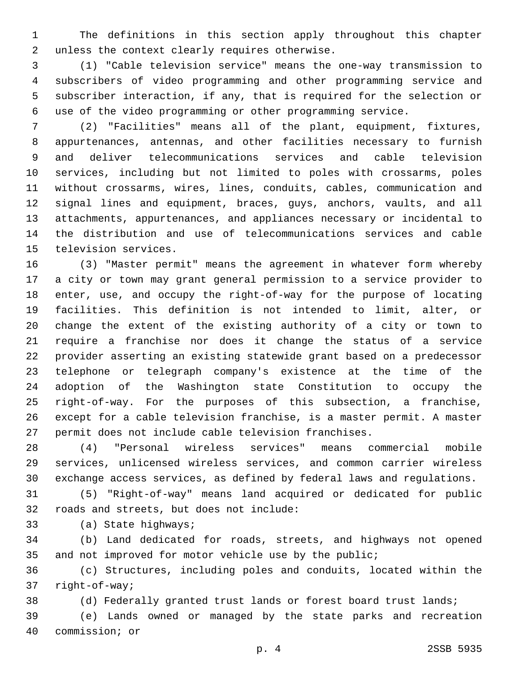The definitions in this section apply throughout this chapter 2 unless the context clearly requires otherwise.

 (1) "Cable television service" means the one-way transmission to subscribers of video programming and other programming service and subscriber interaction, if any, that is required for the selection or use of the video programming or other programming service.

 (2) "Facilities" means all of the plant, equipment, fixtures, appurtenances, antennas, and other facilities necessary to furnish and deliver telecommunications services and cable television services, including but not limited to poles with crossarms, poles without crossarms, wires, lines, conduits, cables, communication and signal lines and equipment, braces, guys, anchors, vaults, and all attachments, appurtenances, and appliances necessary or incidental to the distribution and use of telecommunications services and cable 15 television services.

 (3) "Master permit" means the agreement in whatever form whereby a city or town may grant general permission to a service provider to enter, use, and occupy the right-of-way for the purpose of locating facilities. This definition is not intended to limit, alter, or change the extent of the existing authority of a city or town to require a franchise nor does it change the status of a service provider asserting an existing statewide grant based on a predecessor telephone or telegraph company's existence at the time of the adoption of the Washington state Constitution to occupy the right-of-way. For the purposes of this subsection, a franchise, except for a cable television franchise, is a master permit. A master permit does not include cable television franchises.

 (4) "Personal wireless services" means commercial mobile services, unlicensed wireless services, and common carrier wireless exchange access services, as defined by federal laws and regulations.

 (5) "Right-of-way" means land acquired or dedicated for public 32 roads and streets, but does not include:

33 (a) State highways;

 (b) Land dedicated for roads, streets, and highways not opened 35 and not improved for motor vehicle use by the public;

 (c) Structures, including poles and conduits, located within the 37 right-of-way;

(d) Federally granted trust lands or forest board trust lands;

 (e) Lands owned or managed by the state parks and recreation 40 commission; or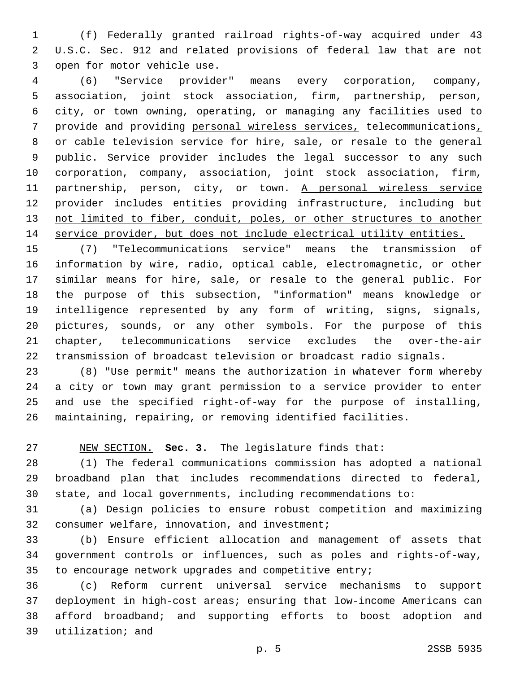(f) Federally granted railroad rights-of-way acquired under 43 U.S.C. Sec. 912 and related provisions of federal law that are not 3 open for motor vehicle use.

 (6) "Service provider" means every corporation, company, association, joint stock association, firm, partnership, person, city, or town owning, operating, or managing any facilities used to provide and providing personal wireless services, telecommunications, or cable television service for hire, sale, or resale to the general public. Service provider includes the legal successor to any such corporation, company, association, joint stock association, firm, 11 partnership, person, city, or town. A personal wireless service provider includes entities providing infrastructure, including but 13 not limited to fiber, conduit, poles, or other structures to another service provider, but does not include electrical utility entities.

 (7) "Telecommunications service" means the transmission of information by wire, radio, optical cable, electromagnetic, or other similar means for hire, sale, or resale to the general public. For the purpose of this subsection, "information" means knowledge or intelligence represented by any form of writing, signs, signals, pictures, sounds, or any other symbols. For the purpose of this chapter, telecommunications service excludes the over-the-air transmission of broadcast television or broadcast radio signals.

 (8) "Use permit" means the authorization in whatever form whereby a city or town may grant permission to a service provider to enter and use the specified right-of-way for the purpose of installing, maintaining, repairing, or removing identified facilities.

NEW SECTION. **Sec. 3.** The legislature finds that:

 (1) The federal communications commission has adopted a national broadband plan that includes recommendations directed to federal, state, and local governments, including recommendations to:

 (a) Design policies to ensure robust competition and maximizing 32 consumer welfare, innovation, and investment;

 (b) Ensure efficient allocation and management of assets that government controls or influences, such as poles and rights-of-way, to encourage network upgrades and competitive entry;

 (c) Reform current universal service mechanisms to support deployment in high-cost areas; ensuring that low-income Americans can afford broadband; and supporting efforts to boost adoption and 39 utilization; and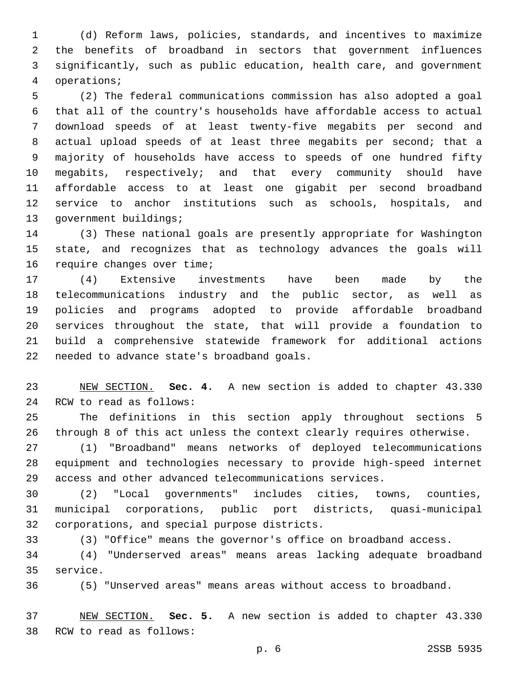(d) Reform laws, policies, standards, and incentives to maximize the benefits of broadband in sectors that government influences significantly, such as public education, health care, and government operations;4

 (2) The federal communications commission has also adopted a goal that all of the country's households have affordable access to actual download speeds of at least twenty-five megabits per second and actual upload speeds of at least three megabits per second; that a majority of households have access to speeds of one hundred fifty megabits, respectively; and that every community should have affordable access to at least one gigabit per second broadband service to anchor institutions such as schools, hospitals, and 13 government buildings;

 (3) These national goals are presently appropriate for Washington state, and recognizes that as technology advances the goals will 16 require changes over time;

 (4) Extensive investments have been made by the telecommunications industry and the public sector, as well as policies and programs adopted to provide affordable broadband services throughout the state, that will provide a foundation to build a comprehensive statewide framework for additional actions 22 needed to advance state's broadband goals.

 NEW SECTION. **Sec. 4.** A new section is added to chapter 43.330 24 RCW to read as follows:

 The definitions in this section apply throughout sections 5 through 8 of this act unless the context clearly requires otherwise.

 (1) "Broadband" means networks of deployed telecommunications equipment and technologies necessary to provide high-speed internet access and other advanced telecommunications services.

 (2) "Local governments" includes cities, towns, counties, municipal corporations, public port districts, quasi-municipal 32 corporations, and special purpose districts.

(3) "Office" means the governor's office on broadband access.

 (4) "Underserved areas" means areas lacking adequate broadband 35 service.

(5) "Unserved areas" means areas without access to broadband.

 NEW SECTION. **Sec. 5.** A new section is added to chapter 43.330 38 RCW to read as follows: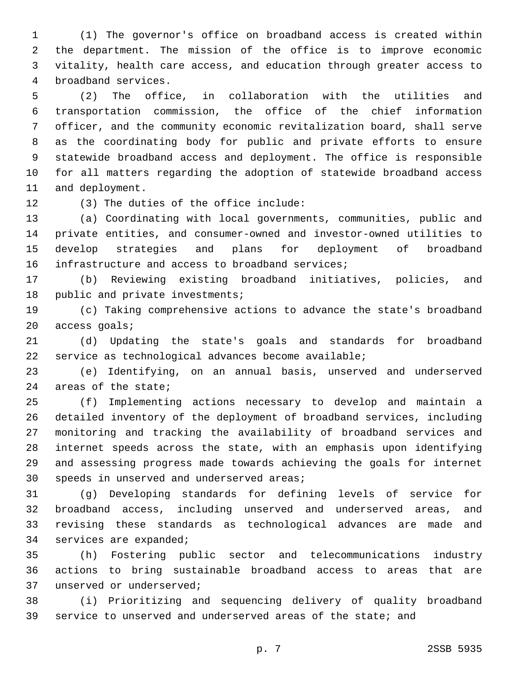(1) The governor's office on broadband access is created within the department. The mission of the office is to improve economic vitality, health care access, and education through greater access to 4 broadband services.

 (2) The office, in collaboration with the utilities and transportation commission, the office of the chief information officer, and the community economic revitalization board, shall serve as the coordinating body for public and private efforts to ensure statewide broadband access and deployment. The office is responsible for all matters regarding the adoption of statewide broadband access 11 and deployment.

12 (3) The duties of the office include:

 (a) Coordinating with local governments, communities, public and private entities, and consumer-owned and investor-owned utilities to develop strategies and plans for deployment of broadband 16 infrastructure and access to broadband services;

 (b) Reviewing existing broadband initiatives, policies, and 18 public and private investments;

 (c) Taking comprehensive actions to advance the state's broadband 20 access goals;

 (d) Updating the state's goals and standards for broadband service as technological advances become available;

 (e) Identifying, on an annual basis, unserved and underserved 24 areas of the state;

 (f) Implementing actions necessary to develop and maintain a detailed inventory of the deployment of broadband services, including monitoring and tracking the availability of broadband services and internet speeds across the state, with an emphasis upon identifying and assessing progress made towards achieving the goals for internet 30 speeds in unserved and underserved areas;

 (g) Developing standards for defining levels of service for broadband access, including unserved and underserved areas, and revising these standards as technological advances are made and 34 services are expanded;

 (h) Fostering public sector and telecommunications industry actions to bring sustainable broadband access to areas that are 37 unserved or underserved;

 (i) Prioritizing and sequencing delivery of quality broadband service to unserved and underserved areas of the state; and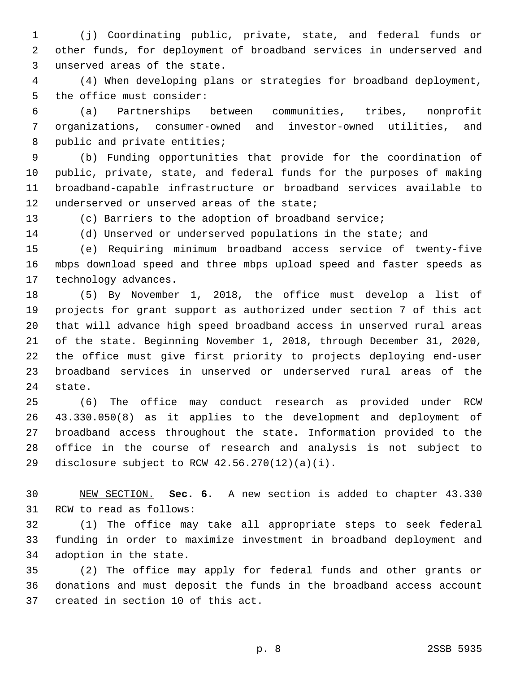(j) Coordinating public, private, state, and federal funds or other funds, for deployment of broadband services in underserved and 3 unserved areas of the state.

 (4) When developing plans or strategies for broadband deployment, 5 the office must consider:

 (a) Partnerships between communities, tribes, nonprofit organizations, consumer-owned and investor-owned utilities, and 8 public and private entities;

 (b) Funding opportunities that provide for the coordination of public, private, state, and federal funds for the purposes of making broadband-capable infrastructure or broadband services available to 12 underserved or unserved areas of the state;

(c) Barriers to the adoption of broadband service;

(d) Unserved or underserved populations in the state; and

 (e) Requiring minimum broadband access service of twenty-five mbps download speed and three mbps upload speed and faster speeds as 17 technology advances.

 (5) By November 1, 2018, the office must develop a list of projects for grant support as authorized under section 7 of this act that will advance high speed broadband access in unserved rural areas of the state. Beginning November 1, 2018, through December 31, 2020, the office must give first priority to projects deploying end-user broadband services in unserved or underserved rural areas of the 24 state.

 (6) The office may conduct research as provided under RCW 43.330.050(8) as it applies to the development and deployment of broadband access throughout the state. Information provided to the office in the course of research and analysis is not subject to 29 disclosure subject to RCW  $42.56.270(12)(a)(i)$ .

 NEW SECTION. **Sec. 6.** A new section is added to chapter 43.330 31 RCW to read as follows:

 (1) The office may take all appropriate steps to seek federal funding in order to maximize investment in broadband deployment and 34 adoption in the state.

 (2) The office may apply for federal funds and other grants or donations and must deposit the funds in the broadband access account 37 created in section 10 of this act.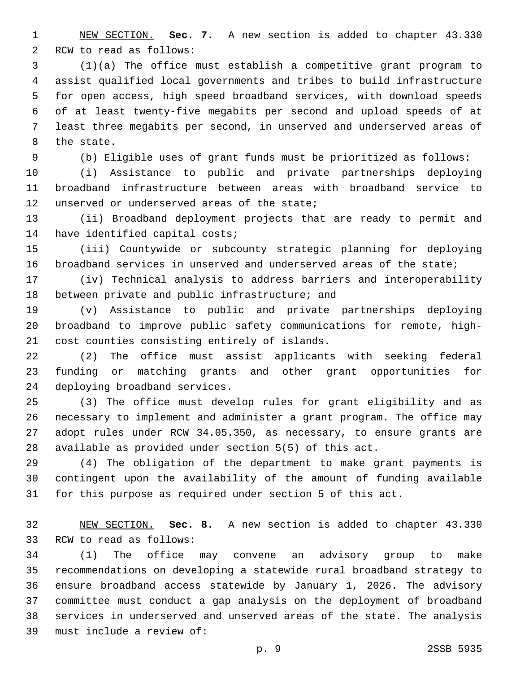NEW SECTION. **Sec. 7.** A new section is added to chapter 43.330 2 RCW to read as follows:

 (1)(a) The office must establish a competitive grant program to assist qualified local governments and tribes to build infrastructure for open access, high speed broadband services, with download speeds of at least twenty-five megabits per second and upload speeds of at least three megabits per second, in unserved and underserved areas of 8 the state.

(b) Eligible uses of grant funds must be prioritized as follows:

 (i) Assistance to public and private partnerships deploying broadband infrastructure between areas with broadband service to 12 unserved or underserved areas of the state;

 (ii) Broadband deployment projects that are ready to permit and 14 have identified capital costs;

 (iii) Countywide or subcounty strategic planning for deploying broadband services in unserved and underserved areas of the state;

 (iv) Technical analysis to address barriers and interoperability 18 between private and public infrastructure; and

 (v) Assistance to public and private partnerships deploying broadband to improve public safety communications for remote, high-21 cost counties consisting entirely of islands.

 (2) The office must assist applicants with seeking federal funding or matching grants and other grant opportunities for 24 deploying broadband services.

 (3) The office must develop rules for grant eligibility and as necessary to implement and administer a grant program. The office may adopt rules under RCW 34.05.350, as necessary, to ensure grants are available as provided under section 5(5) of this act.

 (4) The obligation of the department to make grant payments is contingent upon the availability of the amount of funding available for this purpose as required under section 5 of this act.

 NEW SECTION. **Sec. 8.** A new section is added to chapter 43.330 33 RCW to read as follows:

 (1) The office may convene an advisory group to make recommendations on developing a statewide rural broadband strategy to ensure broadband access statewide by January 1, 2026. The advisory committee must conduct a gap analysis on the deployment of broadband services in underserved and unserved areas of the state. The analysis 39 must include a review of: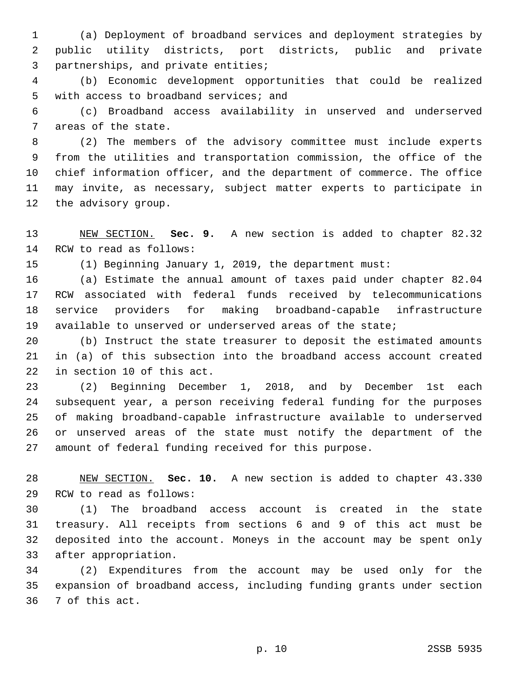(a) Deployment of broadband services and deployment strategies by public utility districts, port districts, public and private 3 partnerships, and private entities;

 (b) Economic development opportunities that could be realized 5 with access to broadband services; and

 (c) Broadband access availability in unserved and underserved 7 areas of the state.

 (2) The members of the advisory committee must include experts from the utilities and transportation commission, the office of the chief information officer, and the department of commerce. The office may invite, as necessary, subject matter experts to participate in 12 the advisory group.

 NEW SECTION. **Sec. 9.** A new section is added to chapter 82.32 14 RCW to read as follows:

(1) Beginning January 1, 2019, the department must:

 (a) Estimate the annual amount of taxes paid under chapter 82.04 RCW associated with federal funds received by telecommunications service providers for making broadband-capable infrastructure available to unserved or underserved areas of the state;

 (b) Instruct the state treasurer to deposit the estimated amounts in (a) of this subsection into the broadband access account created 22 in section 10 of this act.

 (2) Beginning December 1, 2018, and by December 1st each subsequent year, a person receiving federal funding for the purposes of making broadband-capable infrastructure available to underserved or unserved areas of the state must notify the department of the amount of federal funding received for this purpose.

 NEW SECTION. **Sec. 10.** A new section is added to chapter 43.330 29 RCW to read as follows:

 (1) The broadband access account is created in the state treasury. All receipts from sections 6 and 9 of this act must be deposited into the account. Moneys in the account may be spent only 33 after appropriation.

 (2) Expenditures from the account may be used only for the expansion of broadband access, including funding grants under section 36 7 of this act.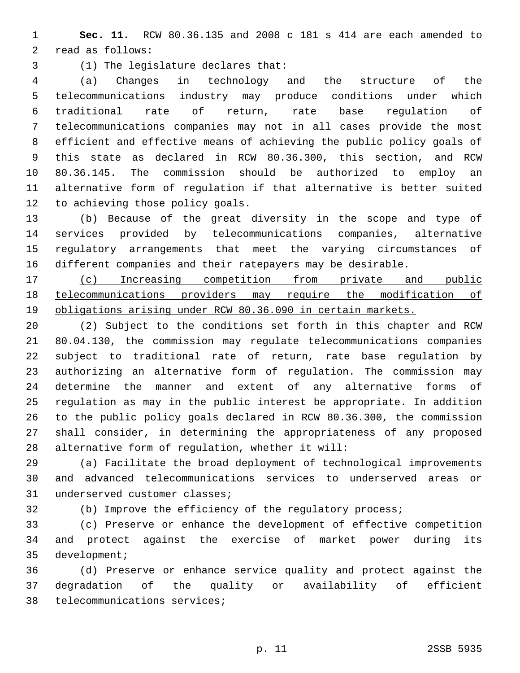**Sec. 11.** RCW 80.36.135 and 2008 c 181 s 414 are each amended to 2 read as follows:

(1) The legislature declares that:3

 (a) Changes in technology and the structure of the telecommunications industry may produce conditions under which traditional rate of return, rate base regulation of telecommunications companies may not in all cases provide the most efficient and effective means of achieving the public policy goals of this state as declared in RCW 80.36.300, this section, and RCW 80.36.145. The commission should be authorized to employ an alternative form of regulation if that alternative is better suited 12 to achieving those policy goals.

 (b) Because of the great diversity in the scope and type of services provided by telecommunications companies, alternative regulatory arrangements that meet the varying circumstances of different companies and their ratepayers may be desirable.

 (c) Increasing competition from private and public telecommunications providers may require the modification of obligations arising under RCW 80.36.090 in certain markets.

 (2) Subject to the conditions set forth in this chapter and RCW 80.04.130, the commission may regulate telecommunications companies subject to traditional rate of return, rate base regulation by authorizing an alternative form of regulation. The commission may determine the manner and extent of any alternative forms of regulation as may in the public interest be appropriate. In addition to the public policy goals declared in RCW 80.36.300, the commission shall consider, in determining the appropriateness of any proposed 28 alternative form of regulation, whether it will:

 (a) Facilitate the broad deployment of technological improvements and advanced telecommunications services to underserved areas or 31 underserved customer classes;

(b) Improve the efficiency of the regulatory process;

 (c) Preserve or enhance the development of effective competition and protect against the exercise of market power during its 35 development;

 (d) Preserve or enhance service quality and protect against the degradation of the quality or availability of efficient 38 telecommunications services;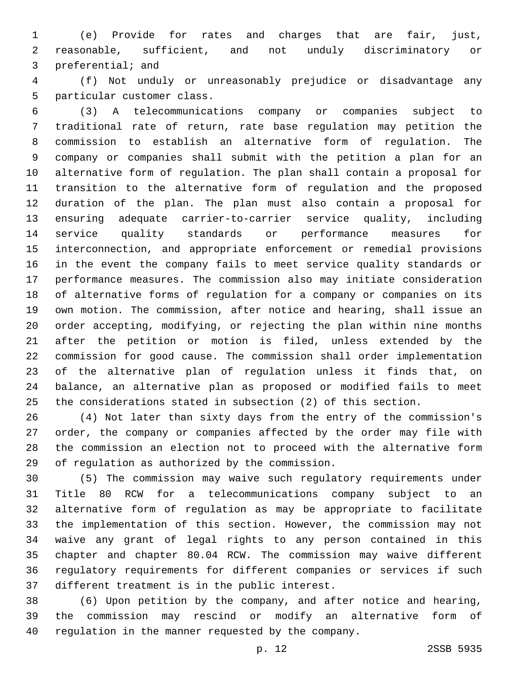(e) Provide for rates and charges that are fair, just, reasonable, sufficient, and not unduly discriminatory or 3 preferential; and

 (f) Not unduly or unreasonably prejudice or disadvantage any 5 particular customer class.

 (3) A telecommunications company or companies subject to traditional rate of return, rate base regulation may petition the commission to establish an alternative form of regulation. The company or companies shall submit with the petition a plan for an alternative form of regulation. The plan shall contain a proposal for transition to the alternative form of regulation and the proposed duration of the plan. The plan must also contain a proposal for ensuring adequate carrier-to-carrier service quality, including service quality standards or performance measures for interconnection, and appropriate enforcement or remedial provisions in the event the company fails to meet service quality standards or performance measures. The commission also may initiate consideration of alternative forms of regulation for a company or companies on its own motion. The commission, after notice and hearing, shall issue an order accepting, modifying, or rejecting the plan within nine months after the petition or motion is filed, unless extended by the commission for good cause. The commission shall order implementation of the alternative plan of regulation unless it finds that, on balance, an alternative plan as proposed or modified fails to meet the considerations stated in subsection (2) of this section.

 (4) Not later than sixty days from the entry of the commission's order, the company or companies affected by the order may file with the commission an election not to proceed with the alternative form 29 of regulation as authorized by the commission.

 (5) The commission may waive such regulatory requirements under Title 80 RCW for a telecommunications company subject to an alternative form of regulation as may be appropriate to facilitate the implementation of this section. However, the commission may not waive any grant of legal rights to any person contained in this chapter and chapter 80.04 RCW. The commission may waive different regulatory requirements for different companies or services if such 37 different treatment is in the public interest.

 (6) Upon petition by the company, and after notice and hearing, the commission may rescind or modify an alternative form of regulation in the manner requested by the company.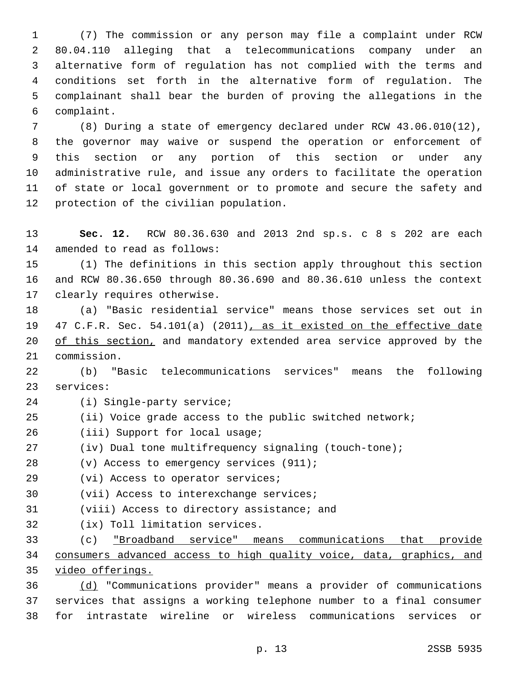(7) The commission or any person may file a complaint under RCW 80.04.110 alleging that a telecommunications company under an alternative form of regulation has not complied with the terms and conditions set forth in the alternative form of regulation. The complainant shall bear the burden of proving the allegations in the complaint.6

 (8) During a state of emergency declared under RCW 43.06.010(12), the governor may waive or suspend the operation or enforcement of this section or any portion of this section or under any administrative rule, and issue any orders to facilitate the operation of state or local government or to promote and secure the safety and 12 protection of the civilian population.

 **Sec. 12.** RCW 80.36.630 and 2013 2nd sp.s. c 8 s 202 are each 14 amended to read as follows:

 (1) The definitions in this section apply throughout this section and RCW 80.36.650 through 80.36.690 and 80.36.610 unless the context 17 clearly requires otherwise.

 (a) "Basic residential service" means those services set out in 47 C.F.R. Sec. 54.101(a) (2011), as it existed on the effective date 20 of this section, and mandatory extended area service approved by the 21 commission.

 (b) "Basic telecommunications services" means the following 23 services:

- 24 (i) Single-party service;
- (ii) Voice grade access to the public switched network;
- 26 (iii) Support for local usage;
- (iv) Dual tone multifrequency signaling (touch-tone);
- (v) Access to emergency services (911);
- 29 (vi) Access to operator services;
- 30 (vii) Access to interexchange services;
- 31 (viii) Access to directory assistance; and
- 32 (ix) Toll limitation services.

 (c) "Broadband service" means communications that provide consumers advanced access to high quality voice, data, graphics, and video offerings.

 (d) "Communications provider" means a provider of communications services that assigns a working telephone number to a final consumer for intrastate wireline or wireless communications services or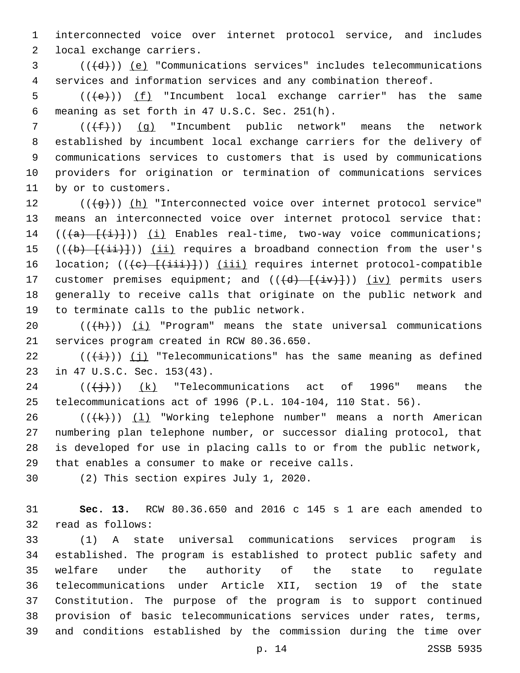1 interconnected voice over internet protocol service, and includes 2 local exchange carriers.

 $3$  ( $(\overline{d})$ ) <u>(e)</u> "Communications services" includes telecommunications 4 services and information services and any combination thereof.

5 ( $(\left\langle e \right\rangle)$ ) (f) "Incumbent local exchange carrier" has the same meaning as set forth in 47 U.S.C. Sec. 251(h).6

7 ( $(\{\pm\})$ ) (q) "Incumbent public network" means the network 8 established by incumbent local exchange carriers for the delivery of 9 communications services to customers that is used by communications 10 providers for origination or termination of communications services 11 by or to customers.

12 (((g)) (h) "Interconnected voice over internet protocol service" 13 means an interconnected voice over internet protocol service that: 14  $((a)$   $\{i\})$   $(i)$  Enables real-time, two-way voice communications; 15 ( $(\overline{(b)} + \overline{(\overline{ii})})$ ) (ii) requires a broadband connection from the user's 16 location;  $((e)$   $((ii))$ ) (iii) requires internet protocol-compatible 17 customer premises equipment; and  $((\overline{d}) - (\overline{i}v)+))$  (iv) permits users 18 generally to receive calls that originate on the public network and 19 to terminate calls to the public network.

20  $((+h))$   $(i)$  "Program" means the state universal communications 21 services program created in RCW 80.36.650.

22  $((\overrightarrow{i}))$  (j) "Telecommunications" has the same meaning as defined 23 in 47 U.S.C. Sec. 153(43).

 $24$  ( $(\frac{+}{3})$ )  $(k)$  "Telecommunications act of 1996" means the 25 telecommunications act of 1996 (P.L. 104-104, 110 Stat. 56).

 $((+k))$   $(1)$  "Working telephone number" means a north American numbering plan telephone number, or successor dialing protocol, that is developed for use in placing calls to or from the public network, 29 that enables a consumer to make or receive calls.

30 (2) This section expires July 1, 2020.

31 **Sec. 13.** RCW 80.36.650 and 2016 c 145 s 1 are each amended to 32 read as follows:

 (1) A state universal communications services program is established. The program is established to protect public safety and welfare under the authority of the state to regulate telecommunications under Article XII, section 19 of the state Constitution. The purpose of the program is to support continued provision of basic telecommunications services under rates, terms, and conditions established by the commission during the time over

p. 14 2SSB 5935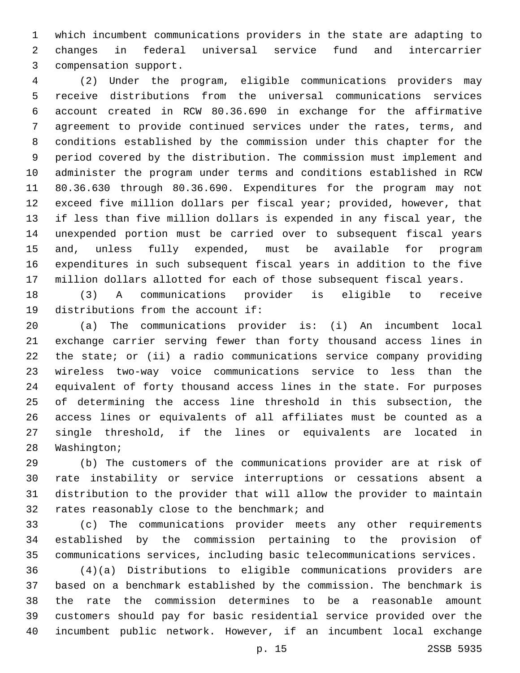which incumbent communications providers in the state are adapting to changes in federal universal service fund and intercarrier 3 compensation support.

 (2) Under the program, eligible communications providers may receive distributions from the universal communications services account created in RCW 80.36.690 in exchange for the affirmative agreement to provide continued services under the rates, terms, and conditions established by the commission under this chapter for the period covered by the distribution. The commission must implement and administer the program under terms and conditions established in RCW 80.36.630 through 80.36.690. Expenditures for the program may not exceed five million dollars per fiscal year; provided, however, that if less than five million dollars is expended in any fiscal year, the unexpended portion must be carried over to subsequent fiscal years and, unless fully expended, must be available for program expenditures in such subsequent fiscal years in addition to the five million dollars allotted for each of those subsequent fiscal years.

 (3) A communications provider is eligible to receive 19 distributions from the account if:

 (a) The communications provider is: (i) An incumbent local exchange carrier serving fewer than forty thousand access lines in the state; or (ii) a radio communications service company providing wireless two-way voice communications service to less than the equivalent of forty thousand access lines in the state. For purposes of determining the access line threshold in this subsection, the access lines or equivalents of all affiliates must be counted as a single threshold, if the lines or equivalents are located in 28 Washington;

 (b) The customers of the communications provider are at risk of rate instability or service interruptions or cessations absent a distribution to the provider that will allow the provider to maintain 32 rates reasonably close to the benchmark; and

 (c) The communications provider meets any other requirements established by the commission pertaining to the provision of communications services, including basic telecommunications services.

 (4)(a) Distributions to eligible communications providers are based on a benchmark established by the commission. The benchmark is the rate the commission determines to be a reasonable amount customers should pay for basic residential service provided over the incumbent public network. However, if an incumbent local exchange

p. 15 2SSB 5935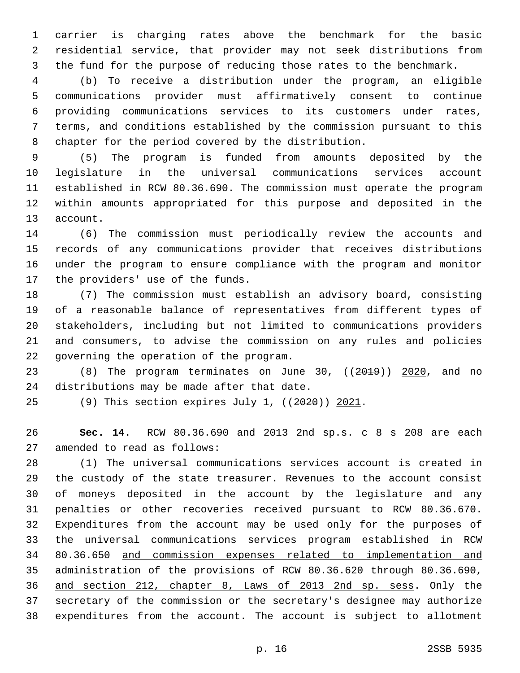carrier is charging rates above the benchmark for the basic residential service, that provider may not seek distributions from the fund for the purpose of reducing those rates to the benchmark.

 (b) To receive a distribution under the program, an eligible communications provider must affirmatively consent to continue providing communications services to its customers under rates, terms, and conditions established by the commission pursuant to this chapter for the period covered by the distribution.

 (5) The program is funded from amounts deposited by the legislature in the universal communications services account established in RCW 80.36.690. The commission must operate the program within amounts appropriated for this purpose and deposited in the 13 account.

 (6) The commission must periodically review the accounts and records of any communications provider that receives distributions under the program to ensure compliance with the program and monitor 17 the providers' use of the funds.

 (7) The commission must establish an advisory board, consisting of a reasonable balance of representatives from different types of stakeholders, including but not limited to communications providers and consumers, to advise the commission on any rules and policies 22 governing the operation of the program.

23 (8) The program terminates on June 30, ((2019)) 2020, and no 24 distributions may be made after that date.

(9) This section expires July 1, ((2020)) 2021.

 **Sec. 14.** RCW 80.36.690 and 2013 2nd sp.s. c 8 s 208 are each 27 amended to read as follows:

 (1) The universal communications services account is created in the custody of the state treasurer. Revenues to the account consist of moneys deposited in the account by the legislature and any penalties or other recoveries received pursuant to RCW 80.36.670. Expenditures from the account may be used only for the purposes of the universal communications services program established in RCW 80.36.650 and commission expenses related to implementation and administration of the provisions of RCW 80.36.620 through 80.36.690, and section 212, chapter 8, Laws of 2013 2nd sp. sess. Only the secretary of the commission or the secretary's designee may authorize expenditures from the account. The account is subject to allotment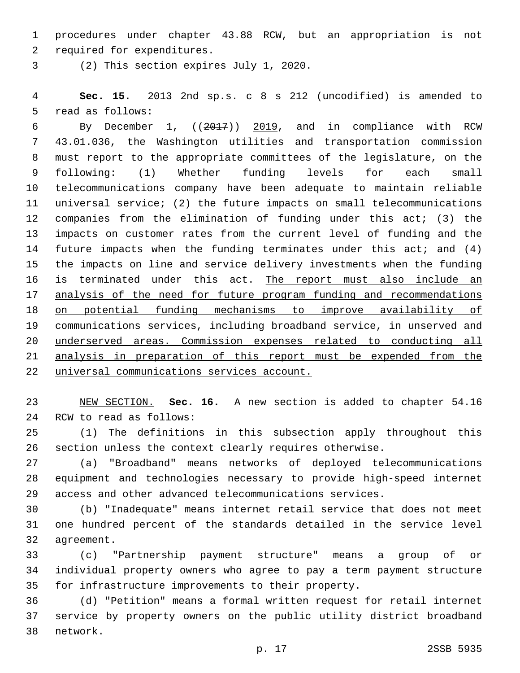procedures under chapter 43.88 RCW, but an appropriation is not 2 required for expenditures.

(2) This section expires July 1, 2020.3

 **Sec. 15.** 2013 2nd sp.s. c 8 s 212 (uncodified) is amended to 5 read as follows:

 By December 1, ((2017)) 2019, and in compliance with RCW 43.01.036, the Washington utilities and transportation commission must report to the appropriate committees of the legislature, on the following: (1) Whether funding levels for each small telecommunications company have been adequate to maintain reliable universal service; (2) the future impacts on small telecommunications companies from the elimination of funding under this act; (3) the impacts on customer rates from the current level of funding and the 14 future impacts when the funding terminates under this act; and (4) the impacts on line and service delivery investments when the funding is terminated under this act. The report must also include an analysis of the need for future program funding and recommendations on potential funding mechanisms to improve availability of communications services, including broadband service, in unserved and underserved areas. Commission expenses related to conducting all analysis in preparation of this report must be expended from the universal communications services account.

 NEW SECTION. **Sec. 16.** A new section is added to chapter 54.16 24 RCW to read as follows:

 (1) The definitions in this subsection apply throughout this section unless the context clearly requires otherwise.

 (a) "Broadband" means networks of deployed telecommunications equipment and technologies necessary to provide high-speed internet access and other advanced telecommunications services.

 (b) "Inadequate" means internet retail service that does not meet one hundred percent of the standards detailed in the service level 32 agreement.

 (c) "Partnership payment structure" means a group of or individual property owners who agree to pay a term payment structure for infrastructure improvements to their property.

 (d) "Petition" means a formal written request for retail internet service by property owners on the public utility district broadband 38 network.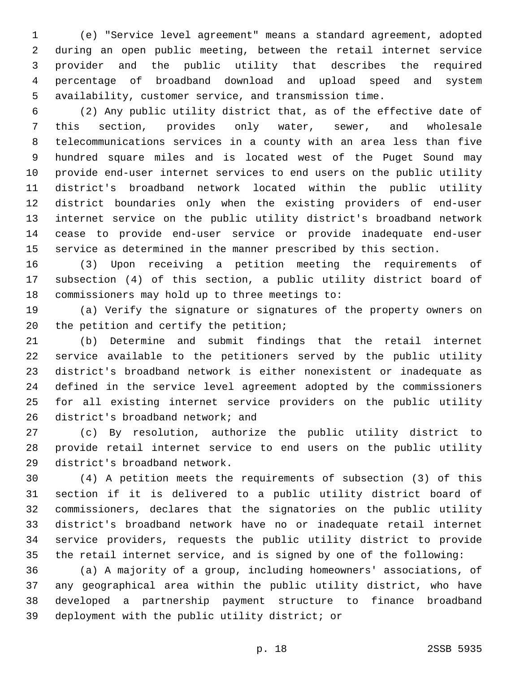(e) "Service level agreement" means a standard agreement, adopted during an open public meeting, between the retail internet service provider and the public utility that describes the required percentage of broadband download and upload speed and system availability, customer service, and transmission time.

 (2) Any public utility district that, as of the effective date of this section, provides only water, sewer, and wholesale telecommunications services in a county with an area less than five hundred square miles and is located west of the Puget Sound may provide end-user internet services to end users on the public utility district's broadband network located within the public utility district boundaries only when the existing providers of end-user internet service on the public utility district's broadband network cease to provide end-user service or provide inadequate end-user service as determined in the manner prescribed by this section.

 (3) Upon receiving a petition meeting the requirements of subsection (4) of this section, a public utility district board of commissioners may hold up to three meetings to:

 (a) Verify the signature or signatures of the property owners on 20 the petition and certify the petition;

 (b) Determine and submit findings that the retail internet service available to the petitioners served by the public utility district's broadband network is either nonexistent or inadequate as defined in the service level agreement adopted by the commissioners for all existing internet service providers on the public utility 26 district's broadband network; and

 (c) By resolution, authorize the public utility district to provide retail internet service to end users on the public utility 29 district's broadband network.

 (4) A petition meets the requirements of subsection (3) of this section if it is delivered to a public utility district board of commissioners, declares that the signatories on the public utility district's broadband network have no or inadequate retail internet service providers, requests the public utility district to provide the retail internet service, and is signed by one of the following:

 (a) A majority of a group, including homeowners' associations, of any geographical area within the public utility district, who have developed a partnership payment structure to finance broadband 39 deployment with the public utility district; or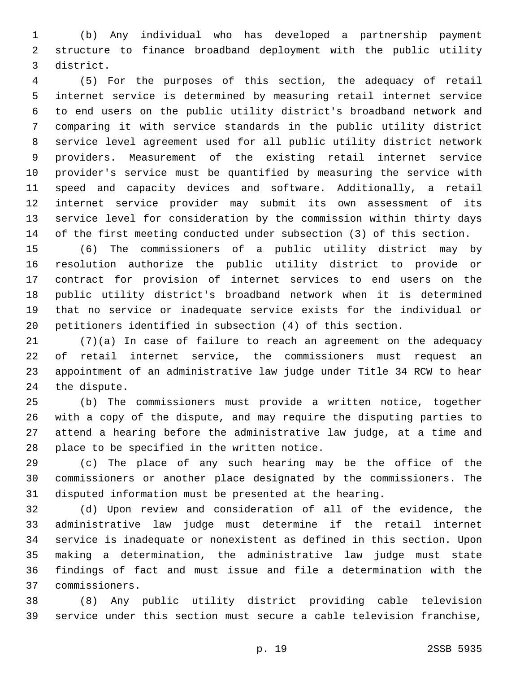(b) Any individual who has developed a partnership payment structure to finance broadband deployment with the public utility district.3

 (5) For the purposes of this section, the adequacy of retail internet service is determined by measuring retail internet service to end users on the public utility district's broadband network and comparing it with service standards in the public utility district service level agreement used for all public utility district network providers. Measurement of the existing retail internet service provider's service must be quantified by measuring the service with speed and capacity devices and software. Additionally, a retail internet service provider may submit its own assessment of its service level for consideration by the commission within thirty days of the first meeting conducted under subsection (3) of this section.

 (6) The commissioners of a public utility district may by resolution authorize the public utility district to provide or contract for provision of internet services to end users on the public utility district's broadband network when it is determined that no service or inadequate service exists for the individual or petitioners identified in subsection (4) of this section.

 (7)(a) In case of failure to reach an agreement on the adequacy of retail internet service, the commissioners must request an appointment of an administrative law judge under Title 34 RCW to hear 24 the dispute.

 (b) The commissioners must provide a written notice, together with a copy of the dispute, and may require the disputing parties to attend a hearing before the administrative law judge, at a time and 28 place to be specified in the written notice.

 (c) The place of any such hearing may be the office of the commissioners or another place designated by the commissioners. The disputed information must be presented at the hearing.

 (d) Upon review and consideration of all of the evidence, the administrative law judge must determine if the retail internet service is inadequate or nonexistent as defined in this section. Upon making a determination, the administrative law judge must state findings of fact and must issue and file a determination with the commissioners.37

 (8) Any public utility district providing cable television service under this section must secure a cable television franchise,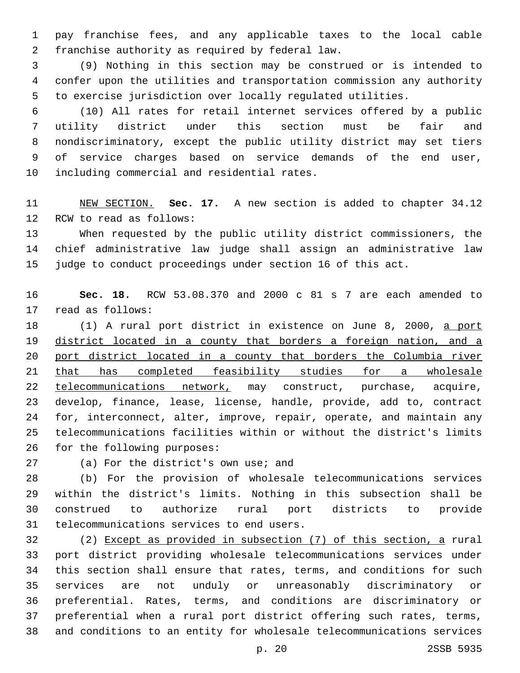pay franchise fees, and any applicable taxes to the local cable 2 franchise authority as required by federal law.

 (9) Nothing in this section may be construed or is intended to confer upon the utilities and transportation commission any authority to exercise jurisdiction over locally regulated utilities.

 (10) All rates for retail internet services offered by a public utility district under this section must be fair and nondiscriminatory, except the public utility district may set tiers of service charges based on service demands of the end user, 10 including commercial and residential rates.

 NEW SECTION. **Sec. 17.** A new section is added to chapter 34.12 12 RCW to read as follows:

 When requested by the public utility district commissioners, the chief administrative law judge shall assign an administrative law judge to conduct proceedings under section 16 of this act.

 **Sec. 18.** RCW 53.08.370 and 2000 c 81 s 7 are each amended to 17 read as follows:

18 (1) A rural port district in existence on June 8, 2000, a port 19 district located in a county that borders a foreign nation, and a 20 port district located in a county that borders the Columbia river 21 that has completed feasibility studies for a wholesale 22 telecommunications network, may construct, purchase, acquire, develop, finance, lease, license, handle, provide, add to, contract for, interconnect, alter, improve, repair, operate, and maintain any telecommunications facilities within or without the district's limits 26 for the following purposes:

27 (a) For the district's own use; and

 (b) For the provision of wholesale telecommunications services within the district's limits. Nothing in this subsection shall be construed to authorize rural port districts to provide 31 telecommunications services to end users.

 (2) Except as provided in subsection (7) of this section, a rural port district providing wholesale telecommunications services under this section shall ensure that rates, terms, and conditions for such services are not unduly or unreasonably discriminatory or preferential. Rates, terms, and conditions are discriminatory or preferential when a rural port district offering such rates, terms, and conditions to an entity for wholesale telecommunications services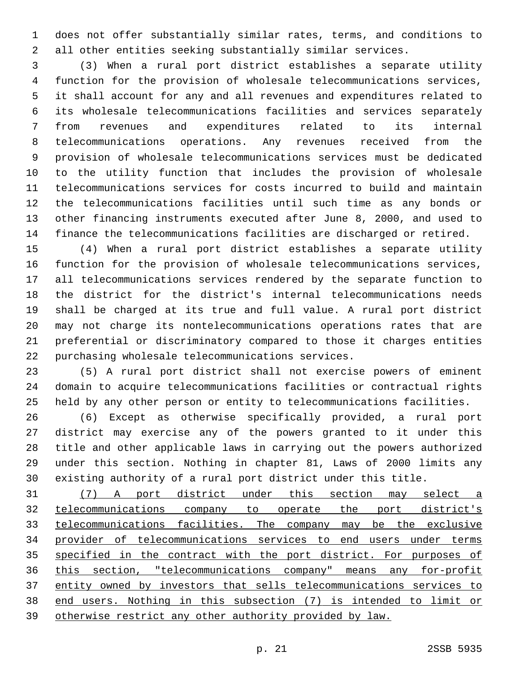does not offer substantially similar rates, terms, and conditions to all other entities seeking substantially similar services.

 (3) When a rural port district establishes a separate utility function for the provision of wholesale telecommunications services, it shall account for any and all revenues and expenditures related to its wholesale telecommunications facilities and services separately from revenues and expenditures related to its internal telecommunications operations. Any revenues received from the provision of wholesale telecommunications services must be dedicated to the utility function that includes the provision of wholesale telecommunications services for costs incurred to build and maintain the telecommunications facilities until such time as any bonds or other financing instruments executed after June 8, 2000, and used to finance the telecommunications facilities are discharged or retired.

 (4) When a rural port district establishes a separate utility function for the provision of wholesale telecommunications services, all telecommunications services rendered by the separate function to the district for the district's internal telecommunications needs shall be charged at its true and full value. A rural port district may not charge its nontelecommunications operations rates that are preferential or discriminatory compared to those it charges entities 22 purchasing wholesale telecommunications services.

 (5) A rural port district shall not exercise powers of eminent domain to acquire telecommunications facilities or contractual rights held by any other person or entity to telecommunications facilities.

 (6) Except as otherwise specifically provided, a rural port district may exercise any of the powers granted to it under this title and other applicable laws in carrying out the powers authorized under this section. Nothing in chapter 81, Laws of 2000 limits any existing authority of a rural port district under this title.

 (7) A port district under this section may select a telecommunications company to operate the port district's telecommunications facilities. The company may be the exclusive provider of telecommunications services to end users under terms 35 specified in the contract with the port district. For purposes of this section, "telecommunications company" means any for-profit entity owned by investors that sells telecommunications services to end users. Nothing in this subsection (7) is intended to limit or otherwise restrict any other authority provided by law.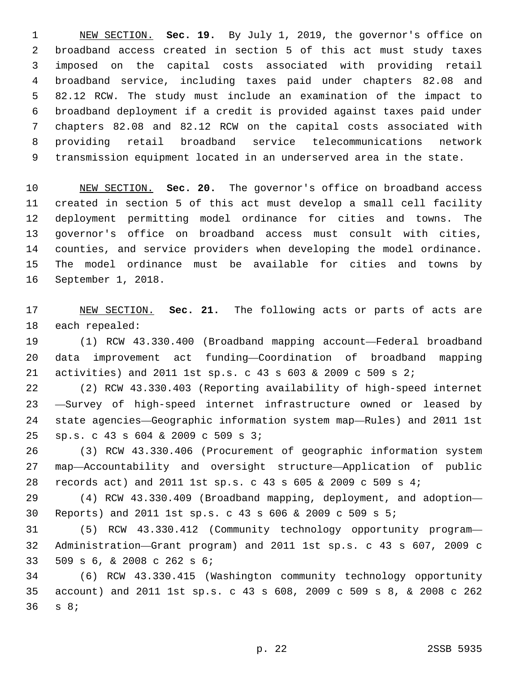NEW SECTION. **Sec. 19.** By July 1, 2019, the governor's office on broadband access created in section 5 of this act must study taxes imposed on the capital costs associated with providing retail broadband service, including taxes paid under chapters 82.08 and 82.12 RCW. The study must include an examination of the impact to broadband deployment if a credit is provided against taxes paid under chapters 82.08 and 82.12 RCW on the capital costs associated with providing retail broadband service telecommunications network transmission equipment located in an underserved area in the state.

 NEW SECTION. **Sec. 20.** The governor's office on broadband access created in section 5 of this act must develop a small cell facility deployment permitting model ordinance for cities and towns. The governor's office on broadband access must consult with cities, counties, and service providers when developing the model ordinance. The model ordinance must be available for cities and towns by September 1, 2018.

 NEW SECTION. **Sec. 21.** The following acts or parts of acts are each repealed:

 (1) RCW 43.330.400 (Broadband mapping account—Federal broadband data improvement act funding—Coordination of broadband mapping activities) and 2011 1st sp.s. c 43 s 603 & 2009 c 509 s 2;

 (2) RCW 43.330.403 (Reporting availability of high-speed internet —Survey of high-speed internet infrastructure owned or leased by state agencies—Geographic information system map—Rules) and 2011 1st sp.s. c 43 s 604 & 2009 c 509 s 3;25

 (3) RCW 43.330.406 (Procurement of geographic information system map—Accountability and oversight structure—Application of public records act) and 2011 1st sp.s. c 43 s 605 & 2009 c 509 s 4;

 (4) RCW 43.330.409 (Broadband mapping, deployment, and adoption— Reports) and 2011 1st sp.s. c 43 s 606 & 2009 c 509 s 5;

 (5) RCW 43.330.412 (Community technology opportunity program— Administration—Grant program) and 2011 1st sp.s. c 43 s 607, 2009 c 509 s 6, & 2008 c 262 s 6;33

 (6) RCW 43.330.415 (Washington community technology opportunity account) and 2011 1st sp.s. c 43 s 608, 2009 c 509 s 8, & 2008 c 262 36 s 8;